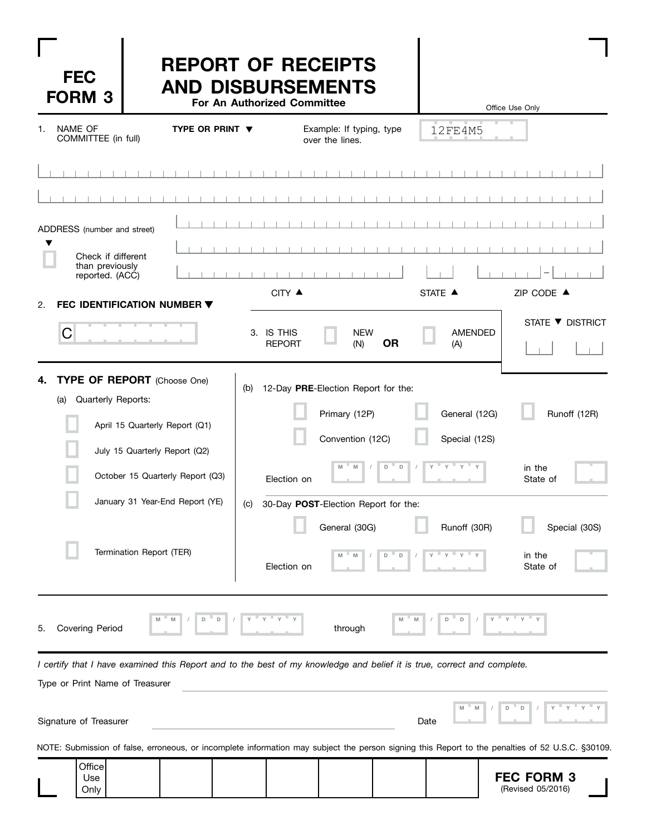| <b>FEC</b><br><b>FORM 3</b>                                                             | <b>REPORT OF RECEIPTS</b><br><b>AND DISBURSEMENTS</b>                                                                   | For An Authorized Committee |                                                                                                   |                                  | Office Use Only                     |
|-----------------------------------------------------------------------------------------|-------------------------------------------------------------------------------------------------------------------------|-----------------------------|---------------------------------------------------------------------------------------------------|----------------------------------|-------------------------------------|
| <b>NAME OF</b><br>COMMITTEE (in full)                                                   | TYPE OR PRINT $\blacktriangledown$                                                                                      |                             | Example: If typing, type<br>over the lines.                                                       | 12FE4M5                          |                                     |
|                                                                                         |                                                                                                                         |                             |                                                                                                   |                                  |                                     |
| ADDRESS (number and street)<br>Check if different<br>than previously<br>reported. (ACC) |                                                                                                                         | CITY ▲                      | $\blacksquare$                                                                                    | STATE A                          | ZIP CODE ▲                          |
| 2.<br>C                                                                                 | FEC IDENTIFICATION NUMBER ▼                                                                                             | 3. IS THIS<br><b>REPORT</b> | <b>NEW</b><br><b>OR</b><br>(N)                                                                    | <b>AMENDED</b><br>(A)            | STATE ▼ DISTRICT                    |
| 4.<br>Quarterly Reports:<br>(a)                                                         | TYPE OF REPORT (Choose One)<br>April 15 Quarterly Report (Q1)<br>July 15 Quarterly Report (Q2)                          | (b)                         | 12-Day PRE-Election Report for the:<br>Primary (12P)<br>Convention (12C)                          | General (12G)<br>Special (12S)   | Runoff (12R)                        |
|                                                                                         | October 15 Quarterly Report (Q3)                                                                                        | Election on                 | D<br>D<br>M                                                                                       |                                  | in the<br>State of                  |
|                                                                                         | January 31 Year-End Report (YE)<br>Termination Report (TER)                                                             | Election on                 | (c) 30-Day POST-Election Report for the:<br>General (30G)<br>M<br>$\mathsf D$<br>$\mathbb D$<br>M | Runoff (30R)                     | Special (30S)<br>in the<br>State of |
| <b>Covering Period</b><br>5.                                                            | $\mathsf D$<br>M<br>M<br>D                                                                                              |                             | M<br>through                                                                                      | M<br>$\mathsf D$<br>$\mathsf{D}$ |                                     |
| Type or Print Name of Treasurer                                                         | I certify that I have examined this Report and to the best of my knowledge and belief it is true, correct and complete. |                             |                                                                                                   |                                  |                                     |
| Signature of Treasurer                                                                  |                                                                                                                         |                             |                                                                                                   | Date                             | D<br>D                              |

NOTE: Submission of false, erroneous, or incomplete information may subject the person signing this Report to the penalties of 52 U.S.C. §30109.

|  | Office<br>Use<br>Only |  |  |  |  |  |  | <b>FEC FORM 3</b><br>(Revised 05/2016) |  |
|--|-----------------------|--|--|--|--|--|--|----------------------------------------|--|
|--|-----------------------|--|--|--|--|--|--|----------------------------------------|--|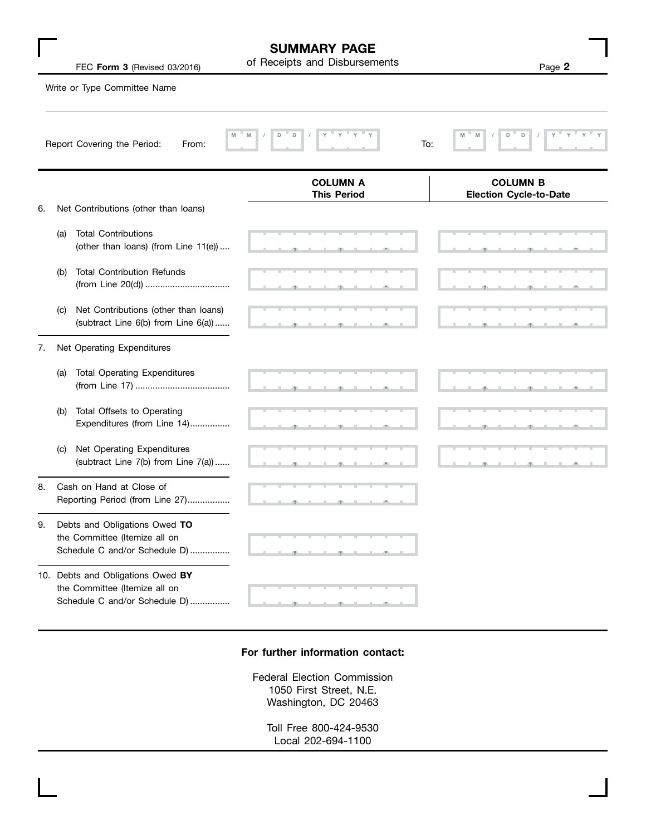|    |     | FEC Form 3 (Revised 03/2016)                                                                        | <b>SUMMARY PAGE</b><br>of Receipts and Disbursements | Page 2                                           |
|----|-----|-----------------------------------------------------------------------------------------------------|------------------------------------------------------|--------------------------------------------------|
|    |     | Write or Type Committee Name                                                                        |                                                      |                                                  |
|    |     | M<br>Report Covering the Period:<br>From:                                                           | D<br>$\mathsf D$<br>M<br>To:                         | D<br>$\mathsf D$<br>M<br>M                       |
|    |     |                                                                                                     | <b>COLUMN A</b><br><b>This Period</b>                | <b>COLUMN B</b><br><b>Election Cycle-to-Date</b> |
| 6. |     | Net Contributions (other than loans)                                                                |                                                      |                                                  |
|    | (a) | <b>Total Contributions</b><br>(other than loans) (from Line 11(e))                                  |                                                      |                                                  |
|    | (b) | <b>Total Contribution Refunds</b>                                                                   |                                                      |                                                  |
|    | (C) | Net Contributions (other than loans)<br>(subtract Line 6(b) from Line 6(a))                         |                                                      |                                                  |
| 7. |     | Net Operating Expenditures                                                                          |                                                      |                                                  |
|    | (a) | <b>Total Operating Expenditures</b>                                                                 |                                                      |                                                  |
|    | (b) | Total Offsets to Operating<br>Expenditures (from Line 14)                                           |                                                      |                                                  |
|    | (C) | Net Operating Expenditures<br>(subtract Line 7(b) from Line 7(a))                                   |                                                      |                                                  |
| 8. |     | Cash on Hand at Close of<br>Reporting Period (from Line 27)                                         |                                                      |                                                  |
| 9. |     | Debts and Obligations Owed TO<br>the Committee (Itemize all on<br>Schedule C and/or Schedule D)     |                                                      |                                                  |
|    |     | 10. Debts and Obligations Owed BY<br>the Committee (Itemize all on<br>Schedule C and/or Schedule D) |                                                      |                                                  |

г

### **For further information contact:**

Federal Election Commission 1050 First Street, N.E. Washington, DC 20463

> Toll Free 800-424-9530 Local 202-694-1100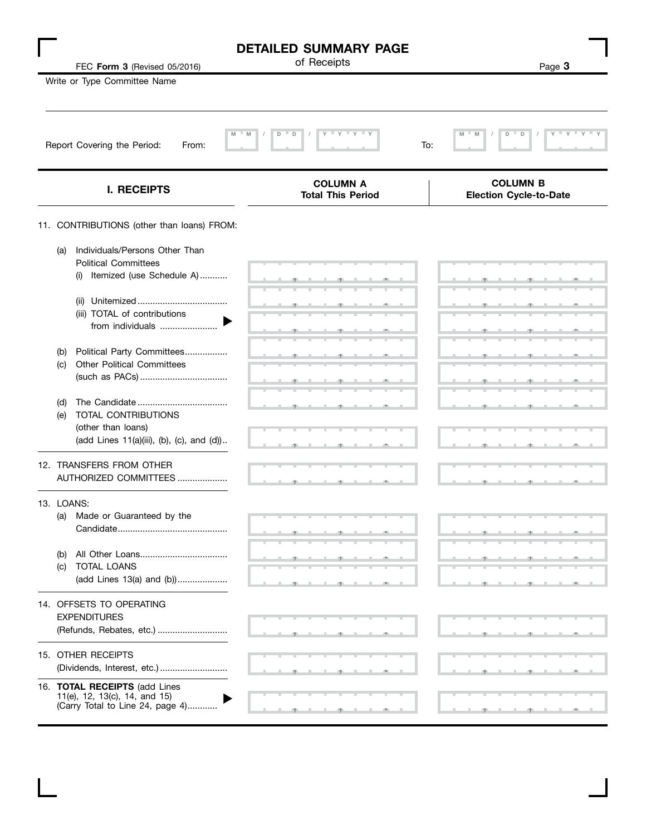|                                                                                                                                                              | <b>DETAILED SUMMARY PAGE</b><br>of Receipts | Page 3                                            |
|--------------------------------------------------------------------------------------------------------------------------------------------------------------|---------------------------------------------|---------------------------------------------------|
| FEC Form 3 (Revised 05/2016)<br>Write or Type Committee Name                                                                                                 |                                             |                                                   |
| Report Covering the Period:<br>From:                                                                                                                         | M<br>M<br>D<br>Y<br>$-Y$<br>D               | M<br>M<br>D<br>$\mathbb D$<br>$Y = Y$<br>Y<br>To: |
| <b>I. RECEIPTS</b>                                                                                                                                           | <b>COLUMN A</b><br><b>Total This Period</b> | <b>COLUMN B</b><br><b>Election Cycle-to-Date</b>  |
| 11. CONTRIBUTIONS (other than loans) FROM:                                                                                                                   |                                             |                                                   |
| Individuals/Persons Other Than<br>(a)<br><b>Political Committees</b><br>Itemized (use Schedule A)<br>(i)<br>(iii) TOTAL of contributions<br>from individuals |                                             |                                                   |
| Political Party Committees<br>(b)<br><b>Other Political Committees</b><br>(c)<br>(d)<br>TOTAL CONTRIBUTIONS<br>(e)                                           |                                             |                                                   |
| (other than loans)<br>(add Lines 11(a)(iii), (b), (c), and (d))                                                                                              |                                             |                                                   |
| 12. TRANSFERS FROM OTHER<br>AUTHORIZED COMMITTEES                                                                                                            |                                             |                                                   |
| 13. LOANS:<br>Made or Guaranteed by the<br>(a)<br>(b)                                                                                                        |                                             |                                                   |
| TOTAL LOANS<br>(c)<br>(add Lines 13(a) and (b))                                                                                                              |                                             |                                                   |
| 14. OFFSETS TO OPERATING<br><b>EXPENDITURES</b><br>(Refunds, Rebates, etc.)                                                                                  |                                             |                                                   |
| 15. OTHER RECEIPTS<br>(Dividends, Interest, etc.)                                                                                                            |                                             |                                                   |
| 16. TOTAL RECEIPTS (add Lines<br>11(e), 12, 13(c), 14, and 15)<br>(Carry Total to Line 24, page 4)                                                           |                                             |                                                   |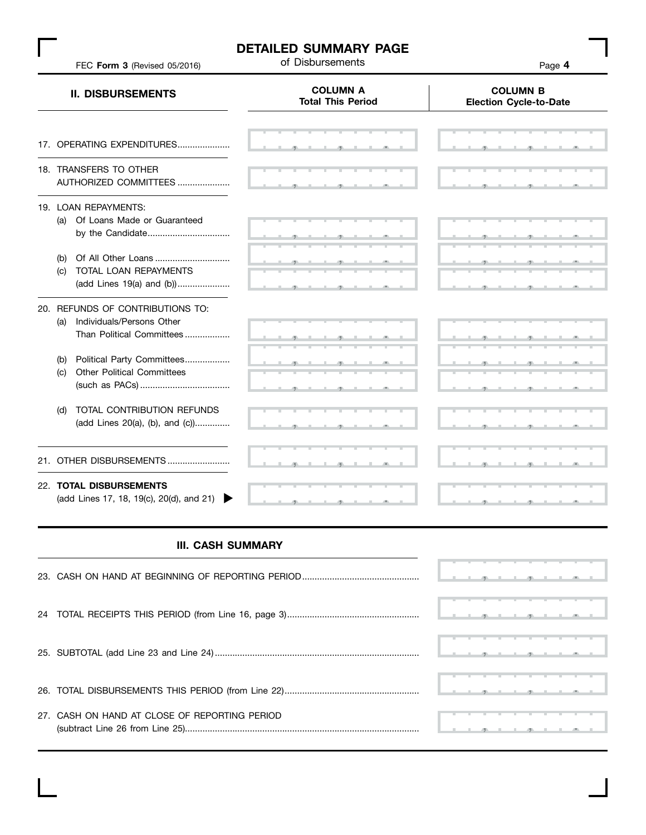# **DETAILED SUMMARY PAGE**<br>of Disbursements

of Disbursements FEC **Form 3** (Revised 05/2016) Page **4**

| <b>COLUMN A</b><br><b>Total This Period</b> | <b>COLUMN B</b><br><b>Election Cycle-to-Date</b> |  |  |  |  |
|---------------------------------------------|--------------------------------------------------|--|--|--|--|
|                                             |                                                  |  |  |  |  |
|                                             |                                                  |  |  |  |  |
|                                             |                                                  |  |  |  |  |
|                                             |                                                  |  |  |  |  |
|                                             |                                                  |  |  |  |  |
|                                             |                                                  |  |  |  |  |

### **III. CASH SUMMARY**

|                                               | <u>I a go that go that which the set of the set of the set of the set of the set of the set of the set of the set of the set of the set of the set of the set of the set of the set of the set of the set of the set of the set </u>       |  |  |  |  |  |
|-----------------------------------------------|--------------------------------------------------------------------------------------------------------------------------------------------------------------------------------------------------------------------------------------------|--|--|--|--|--|
|                                               | <u><b>La region de generalista de la regional de la regional de la regional de la regional de la regional de la regional de la regional de la regional de la regional de la regional de la regional de la regional de la regional </b></u> |  |  |  |  |  |
|                                               | $\frac{1}{2}$ . The state of the state of the state of the state of the state of the state of the state of the state of the state of the state of the state of the state of the state of the state of the state of the state of t          |  |  |  |  |  |
| 27. CASH ON HAND AT CLOSE OF REPORTING PERIOD |                                                                                                                                                                                                                                            |  |  |  |  |  |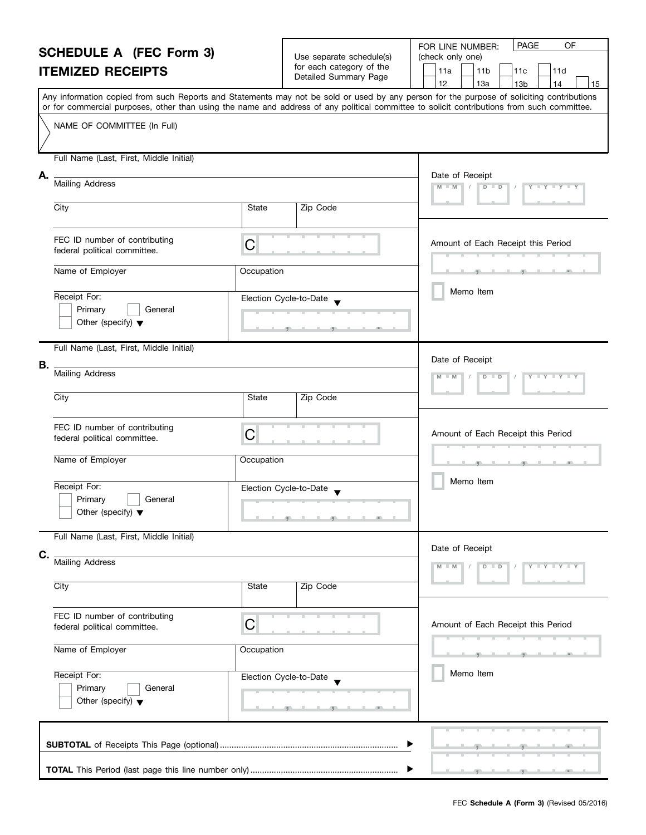| <b>SCHEDULE A (FEC Form 3)</b> |                                                                                                                                                                                                                                                                                         |              |                                                      | FOR LINE NUMBER: |                 |                        |                                    |                 | PAGE | OF                  |  |    |
|--------------------------------|-----------------------------------------------------------------------------------------------------------------------------------------------------------------------------------------------------------------------------------------------------------------------------------------|--------------|------------------------------------------------------|------------------|-----------------|------------------------|------------------------------------|-----------------|------|---------------------|--|----|
|                                |                                                                                                                                                                                                                                                                                         |              | Use separate schedule(s)<br>for each category of the | (check only one) |                 |                        |                                    |                 |      |                     |  |    |
|                                | <b>ITEMIZED RECEIPTS</b>                                                                                                                                                                                                                                                                |              | Detailed Summary Page                                |                  | 11a             | 11 <sub>b</sub><br>11c |                                    |                 | 11d  |                     |  |    |
|                                |                                                                                                                                                                                                                                                                                         |              |                                                      |                  | 12              |                        | 13a                                | 13 <sub>b</sub> |      | 14                  |  | 15 |
|                                | Any information copied from such Reports and Statements may not be sold or used by any person for the purpose of soliciting contributions<br>or for commercial purposes, other than using the name and address of any political committee to solicit contributions from such committee. |              |                                                      |                  |                 |                        |                                    |                 |      |                     |  |    |
|                                | NAME OF COMMITTEE (In Full)                                                                                                                                                                                                                                                             |              |                                                      |                  |                 |                        |                                    |                 |      |                     |  |    |
|                                |                                                                                                                                                                                                                                                                                         |              |                                                      |                  |                 |                        |                                    |                 |      |                     |  |    |
|                                |                                                                                                                                                                                                                                                                                         |              |                                                      |                  |                 |                        |                                    |                 |      |                     |  |    |
|                                | Full Name (Last, First, Middle Initial)                                                                                                                                                                                                                                                 |              |                                                      |                  |                 |                        |                                    |                 |      |                     |  |    |
| А.                             |                                                                                                                                                                                                                                                                                         |              |                                                      |                  | Date of Receipt |                        |                                    |                 |      |                     |  |    |
|                                | <b>Mailing Address</b>                                                                                                                                                                                                                                                                  |              |                                                      |                  | $M - M$         |                        | $D$ $D$                            |                 |      | Y FY FY F           |  |    |
|                                | City                                                                                                                                                                                                                                                                                    | <b>State</b> | Zip Code                                             |                  |                 |                        |                                    |                 |      |                     |  |    |
|                                |                                                                                                                                                                                                                                                                                         |              |                                                      |                  |                 |                        |                                    |                 |      |                     |  |    |
|                                |                                                                                                                                                                                                                                                                                         |              |                                                      |                  |                 |                        |                                    |                 |      |                     |  |    |
|                                | FEC ID number of contributing<br>federal political committee.                                                                                                                                                                                                                           | C            |                                                      |                  |                 |                        | Amount of Each Receipt this Period |                 |      |                     |  |    |
|                                |                                                                                                                                                                                                                                                                                         |              |                                                      |                  |                 |                        |                                    |                 |      |                     |  |    |
|                                | Name of Employer                                                                                                                                                                                                                                                                        | Occupation   |                                                      |                  |                 |                        |                                    |                 |      |                     |  |    |
|                                |                                                                                                                                                                                                                                                                                         |              |                                                      |                  |                 |                        | Memo Item                          |                 |      |                     |  |    |
|                                | Receipt For:<br>Primary<br>General                                                                                                                                                                                                                                                      |              | Election Cycle-to-Date                               |                  |                 |                        |                                    |                 |      |                     |  |    |
|                                | Other (specify) $\blacktriangledown$                                                                                                                                                                                                                                                    |              |                                                      |                  |                 |                        |                                    |                 |      |                     |  |    |
|                                |                                                                                                                                                                                                                                                                                         |              |                                                      |                  |                 |                        |                                    |                 |      |                     |  |    |
|                                | Full Name (Last, First, Middle Initial)                                                                                                                                                                                                                                                 |              |                                                      |                  |                 |                        |                                    |                 |      |                     |  |    |
| В.                             |                                                                                                                                                                                                                                                                                         |              |                                                      |                  | Date of Receipt |                        |                                    |                 |      |                     |  |    |
|                                | <b>Mailing Address</b>                                                                                                                                                                                                                                                                  |              |                                                      |                  |                 |                        | D<br>$\Box$                        |                 |      |                     |  |    |
|                                |                                                                                                                                                                                                                                                                                         |              |                                                      |                  |                 |                        |                                    |                 |      |                     |  |    |
|                                | City                                                                                                                                                                                                                                                                                    | State        | Zip Code                                             |                  |                 |                        |                                    |                 |      |                     |  |    |
|                                |                                                                                                                                                                                                                                                                                         |              |                                                      |                  |                 |                        |                                    |                 |      |                     |  |    |
|                                | FEC ID number of contributing<br>federal political committee.                                                                                                                                                                                                                           | C            |                                                      |                  |                 |                        | Amount of Each Receipt this Period |                 |      |                     |  |    |
|                                |                                                                                                                                                                                                                                                                                         |              |                                                      |                  |                 |                        |                                    |                 |      |                     |  |    |
|                                | Name of Employer                                                                                                                                                                                                                                                                        | Occupation   |                                                      |                  |                 |                        |                                    |                 |      |                     |  |    |
|                                |                                                                                                                                                                                                                                                                                         |              |                                                      |                  | Memo Item       |                        |                                    |                 |      |                     |  |    |
|                                | Receipt For:                                                                                                                                                                                                                                                                            |              | Election Cycle-to-Date                               |                  |                 |                        |                                    |                 |      |                     |  |    |
|                                | Primary<br>General                                                                                                                                                                                                                                                                      |              |                                                      |                  |                 |                        |                                    |                 |      |                     |  |    |
|                                | Other (specify) $\blacktriangledown$                                                                                                                                                                                                                                                    |              |                                                      |                  |                 |                        |                                    |                 |      |                     |  |    |
|                                | Full Name (Last, First, Middle Initial)                                                                                                                                                                                                                                                 |              |                                                      |                  |                 |                        |                                    |                 |      |                     |  |    |
| C.                             |                                                                                                                                                                                                                                                                                         |              |                                                      |                  | Date of Receipt |                        |                                    |                 |      |                     |  |    |
|                                | <b>Mailing Address</b>                                                                                                                                                                                                                                                                  |              |                                                      |                  |                 |                        | $D$ $D$                            |                 |      | $Y - Y - Y - Y - Y$ |  |    |
|                                |                                                                                                                                                                                                                                                                                         |              |                                                      |                  |                 |                        |                                    |                 |      |                     |  |    |
|                                | City                                                                                                                                                                                                                                                                                    | <b>State</b> | Zip Code                                             |                  |                 |                        |                                    |                 |      |                     |  |    |
|                                |                                                                                                                                                                                                                                                                                         |              |                                                      |                  |                 |                        |                                    |                 |      |                     |  |    |
|                                | FEC ID number of contributing<br>federal political committee.                                                                                                                                                                                                                           | C            |                                                      |                  |                 |                        | Amount of Each Receipt this Period |                 |      |                     |  |    |
|                                |                                                                                                                                                                                                                                                                                         |              |                                                      |                  |                 |                        |                                    |                 |      |                     |  |    |
|                                | Name of Employer                                                                                                                                                                                                                                                                        | Occupation   |                                                      |                  |                 |                        |                                    |                 |      |                     |  |    |
|                                |                                                                                                                                                                                                                                                                                         |              |                                                      |                  |                 |                        |                                    |                 |      |                     |  |    |
|                                | Receipt For:                                                                                                                                                                                                                                                                            |              | Election Cycle-to-Date                               |                  |                 |                        | Memo Item                          |                 |      |                     |  |    |
|                                | Primary<br>General<br>Other (specify) $\blacktriangledown$                                                                                                                                                                                                                              |              |                                                      |                  |                 |                        |                                    |                 |      |                     |  |    |
|                                |                                                                                                                                                                                                                                                                                         |              |                                                      |                  |                 |                        |                                    |                 |      |                     |  |    |
|                                |                                                                                                                                                                                                                                                                                         |              |                                                      |                  |                 |                        |                                    |                 |      |                     |  |    |
|                                |                                                                                                                                                                                                                                                                                         |              |                                                      |                  |                 |                        |                                    |                 |      |                     |  |    |
|                                |                                                                                                                                                                                                                                                                                         |              |                                                      |                  |                 |                        |                                    |                 |      |                     |  |    |
|                                |                                                                                                                                                                                                                                                                                         |              |                                                      |                  |                 |                        |                                    |                 |      |                     |  |    |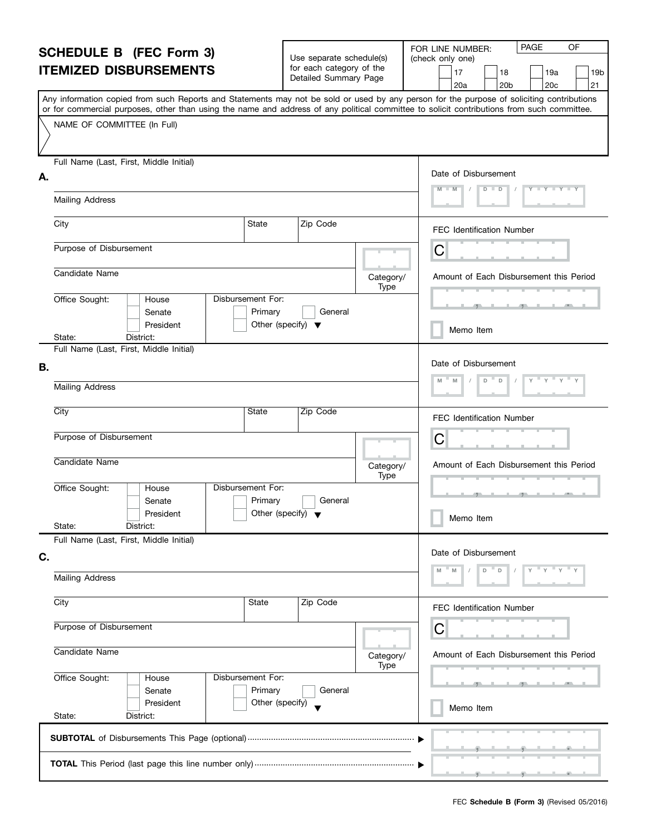#### **SCHEDULE B (FEC Form 3) ITEMIZED DISBURSEMENTS** Any information copied from such Reports and Statements may not be sold or used by any person for the purpose of soliciting contributions or for commercial purposes, other than using the name and address of any political committee to solicit contributions from such committee. NAME OF COMMITTEE (In Full) Full Name (Last, First, Middle Initial) Mailing Address **A.** Date of Disbursement FOR LINE NUMBER: PAGE OF (check only one) Use separate schedule(s) for each category of the Detailed Summary Page 17 | |18 | |19a | |19b 20a | |20b | |20c | |21  **M M / D D / Y Y Y Y**

|                             | Mailing Address                                   |                                                                                                                 |  |                                                                      |                                         |      |                                               |
|-----------------------------|---------------------------------------------------|-----------------------------------------------------------------------------------------------------------------|--|----------------------------------------------------------------------|-----------------------------------------|------|-----------------------------------------------|
|                             | City                                              | State<br>Zip Code                                                                                               |  |                                                                      |                                         |      | FEC Identification Number                     |
|                             | Purpose of Disbursement                           |                                                                                                                 |  |                                                                      |                                         |      | С                                             |
| Candidate Name<br>Category/ |                                                   |                                                                                                                 |  |                                                                      |                                         | Type | Amount of Each Disbursement this Period       |
|                             | Office Sought:                                    | House<br>Senate<br>President                                                                                    |  | Disbursement For:<br>Primary<br>Other (specify) $\blacktriangledown$ | General                                 |      | $\tau$ and $\tau$ and $\tau$<br>Memo Item     |
|                             | State:<br>Full Name (Last, First, Middle Initial) | District:                                                                                                       |  |                                                                      |                                         |      |                                               |
| В.                          |                                                   |                                                                                                                 |  |                                                                      |                                         |      | Date of Disbursement<br>M<br>D<br>M<br>D<br>Y |
|                             | <b>Mailing Address</b>                            |                                                                                                                 |  |                                                                      |                                         |      |                                               |
|                             | City                                              |                                                                                                                 |  | State                                                                | Zip Code                                |      | FEC Identification Number                     |
|                             | Purpose of Disbursement                           |                                                                                                                 |  |                                                                      | C                                       |      |                                               |
|                             | Candidate Name                                    |                                                                                                                 |  | Category/<br>Type                                                    | Amount of Each Disbursement this Period |      |                                               |
|                             | Office Sought:                                    | Disbursement For:<br>House<br>Primary<br>General<br>Senate<br>Other (specify) $\sqrt{\phantom{a}}$<br>President |  |                                                                      |                                         |      | <b>ART</b><br>$\mathbf{r}$ and $\mathbf{r}$   |
|                             | State:                                            | District:                                                                                                       |  |                                                                      |                                         |      | Memo Item                                     |
|                             | Full Name (Last, First, Middle Initial)           |                                                                                                                 |  |                                                                      |                                         |      |                                               |
| C.                          |                                                   |                                                                                                                 |  |                                                                      |                                         |      | Date of Disbursement                          |
|                             | <b>Mailing Address</b>                            |                                                                                                                 |  |                                                                      |                                         |      | M<br>M<br>D<br>D                              |
|                             | $\overline{City}$                                 |                                                                                                                 |  | State                                                                | Zip Code                                |      | FEC Identification Number                     |
| Purpose of Disbursement     |                                                   |                                                                                                                 |  |                                                                      |                                         |      | C                                             |
|                             | Candidate Name<br>Category/<br>Type               |                                                                                                                 |  |                                                                      |                                         |      | Amount of Each Disbursement this Period       |
|                             | Office Sought:                                    | House<br>Senate                                                                                                 |  | Disbursement For:<br>Primary                                         | General                                 |      |                                               |
|                             | State:                                            | President<br>District:                                                                                          |  | Other (specify)                                                      |                                         |      | Memo Item                                     |
|                             |                                                   |                                                                                                                 |  |                                                                      |                                         |      |                                               |
|                             |                                                   |                                                                                                                 |  |                                                                      |                                         |      |                                               |
|                             |                                                   |                                                                                                                 |  |                                                                      |                                         |      |                                               |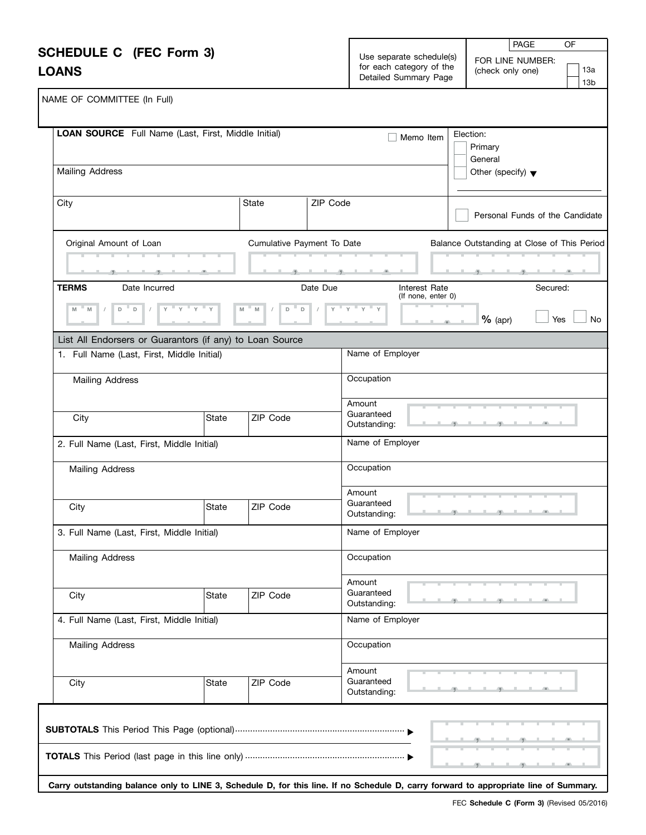| <b>SCHEDULE C</b> (FEC Form 3)<br><b>LOANS</b>                                                                        |                                                                                                |                            |          | Use separate schedule(s)<br>for each category of the<br>Detailed Summary Page | OF<br><b>PAGE</b><br>FOR LINE NUMBER:<br>13a<br>(check only one)<br>13 <sub>b</sub> |
|-----------------------------------------------------------------------------------------------------------------------|------------------------------------------------------------------------------------------------|----------------------------|----------|-------------------------------------------------------------------------------|-------------------------------------------------------------------------------------|
| NAME OF COMMITTEE (In Full)                                                                                           |                                                                                                |                            |          |                                                                               |                                                                                     |
| LOAN SOURCE Full Name (Last, First, Middle Initial)                                                                   |                                                                                                |                            |          | Memo Item                                                                     | Election:<br>Primary<br>General                                                     |
| <b>Mailing Address</b>                                                                                                |                                                                                                |                            |          |                                                                               | Other (specify) $\blacktriangledown$                                                |
| City                                                                                                                  |                                                                                                | State                      | ZIP Code |                                                                               | Personal Funds of the Candidate                                                     |
| Original Amount of Loan                                                                                               |                                                                                                | Cumulative Payment To Date |          |                                                                               | Balance Outstanding at Close of This Period<br>والمستقبل والمستقبلات                |
| <b>TERMS</b><br>Date Incurred<br>$D$ D<br>$\sqrt{2}$<br>M<br>List All Endorsers or Guarantors (if any) to Loan Source | $\frac{1}{\gamma} + \frac{1}{\gamma} + \frac{1}{\gamma} + \frac{1}{\gamma} + \frac{1}{\gamma}$ | D<br>M<br>D<br>M           | Date Due | Interest Rate<br>(If none, enter 0)<br>$Y$ $Y$ $Y$ $Y$ $Y$                    | Secured:<br>Yes<br>$%$ (apr)<br>No                                                  |
| 1. Full Name (Last, First, Middle Initial)                                                                            |                                                                                                |                            |          | Name of Employer                                                              |                                                                                     |
| Mailing Address                                                                                                       |                                                                                                |                            |          | Occupation                                                                    |                                                                                     |
| City                                                                                                                  | State                                                                                          | ZIP Code                   |          | Amount<br>Guaranteed<br>Outstanding:                                          |                                                                                     |
| 2. Full Name (Last, First, Middle Initial)<br>Mailing Address                                                         |                                                                                                |                            |          | Name of Employer<br>Occupation                                                |                                                                                     |
| City                                                                                                                  | <b>State</b>                                                                                   | ZIP Code                   |          | Amount<br>Guaranteed<br>Outstanding:                                          |                                                                                     |
| 3. Full Name (Last, First, Middle Initial)                                                                            |                                                                                                |                            |          | Name of Employer                                                              |                                                                                     |
| Mailing Address                                                                                                       |                                                                                                |                            |          | Occupation                                                                    |                                                                                     |
| City                                                                                                                  | <b>State</b>                                                                                   | ZIP Code                   |          | Amount<br>Guaranteed<br>Outstanding:                                          |                                                                                     |
| 4. Full Name (Last, First, Middle Initial)                                                                            |                                                                                                |                            |          | Name of Employer                                                              |                                                                                     |
| <b>Mailing Address</b>                                                                                                |                                                                                                |                            |          | Occupation                                                                    |                                                                                     |
| City                                                                                                                  | State                                                                                          | ZIP Code                   |          | Amount<br>Guaranteed<br>Outstanding:                                          | m                                                                                   |
|                                                                                                                       |                                                                                                |                            |          |                                                                               | m.                                                                                  |

**Carry outstanding balance only to LINE 3, Schedule D, for this line. If no Schedule D, carry forward to appropriate line of Summary.**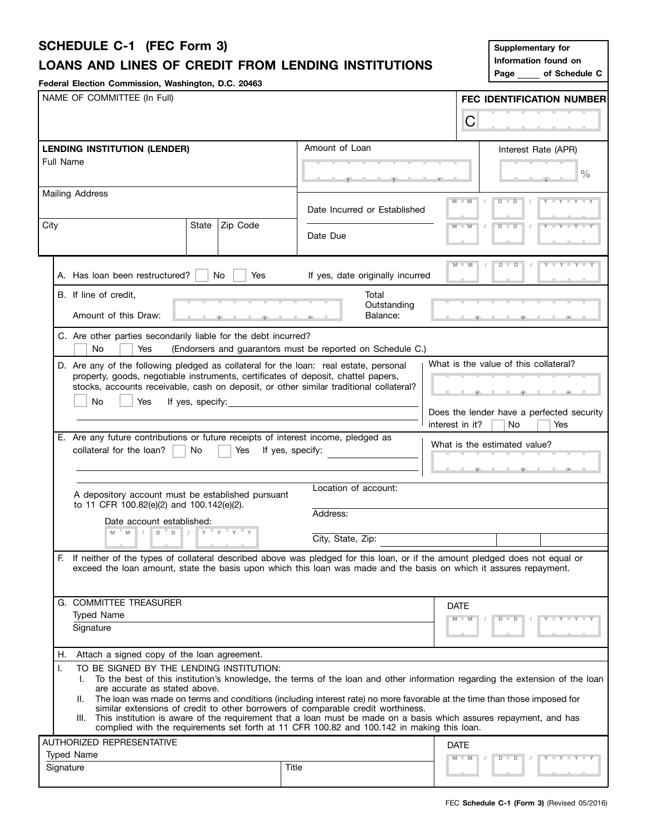# **SCHEDULE C-1 (FEC Form 3)**

# **LOANS AND LINES OF CREDIT FROM LENDING INSTITUTIONS**

**Federal Election Commission, Washington, D.C. 20463**

| Supplementary for    |               |  |  |  |  |  |  |
|----------------------|---------------|--|--|--|--|--|--|
| Information found on |               |  |  |  |  |  |  |
| Page                 | of Schedule C |  |  |  |  |  |  |

| NAME OF COMMITTEE (In Full)                                                                                                                                                                                                                             |                                                                                        |                                                                                                                              |                 |                                                      | FEC IDENTIFICATION NUMBER                 |  |  |
|---------------------------------------------------------------------------------------------------------------------------------------------------------------------------------------------------------------------------------------------------------|----------------------------------------------------------------------------------------|------------------------------------------------------------------------------------------------------------------------------|-----------------|------------------------------------------------------|-------------------------------------------|--|--|
|                                                                                                                                                                                                                                                         |                                                                                        |                                                                                                                              | C               |                                                      |                                           |  |  |
| <b>LENDING INSTITUTION (LENDER)</b>                                                                                                                                                                                                                     |                                                                                        | Amount of Loan                                                                                                               |                 | Interest Rate (APR)                                  |                                           |  |  |
| Full Name                                                                                                                                                                                                                                               |                                                                                        |                                                                                                                              |                 |                                                      |                                           |  |  |
|                                                                                                                                                                                                                                                         |                                                                                        |                                                                                                                              |                 |                                                      | $\frac{0}{0}$                             |  |  |
| Mailing Address                                                                                                                                                                                                                                         |                                                                                        |                                                                                                                              | $M - M$         |                                                      |                                           |  |  |
|                                                                                                                                                                                                                                                         |                                                                                        | Date Incurred or Established                                                                                                 |                 | $D$ $D$                                              | $Y = Y = Y = Y$                           |  |  |
| City<br>State                                                                                                                                                                                                                                           | Zip Code                                                                               |                                                                                                                              | $M - M$         | $Y = Y = Y + Y$<br>$D - D$                           |                                           |  |  |
|                                                                                                                                                                                                                                                         |                                                                                        | Date Due                                                                                                                     |                 |                                                      |                                           |  |  |
|                                                                                                                                                                                                                                                         |                                                                                        |                                                                                                                              |                 |                                                      |                                           |  |  |
| A. Has loan been restructured?<br>No                                                                                                                                                                                                                    | Yes                                                                                    | If yes, date originally incurred                                                                                             | $M - M$         | $D$ $D$<br>$\sqrt{ }$                                | $Y - Y - Y - Y$                           |  |  |
| B. If line of credit,                                                                                                                                                                                                                                   |                                                                                        | Total                                                                                                                        |                 |                                                      |                                           |  |  |
|                                                                                                                                                                                                                                                         |                                                                                        | Outstanding                                                                                                                  |                 |                                                      |                                           |  |  |
| Amount of this Draw:                                                                                                                                                                                                                                    |                                                                                        | Balance:                                                                                                                     |                 | <b>The South Contract Contract Contract Contract</b> |                                           |  |  |
| C. Are other parties secondarily liable for the debt incurred?                                                                                                                                                                                          |                                                                                        |                                                                                                                              |                 |                                                      |                                           |  |  |
| No<br>Yes                                                                                                                                                                                                                                               |                                                                                        | (Endorsers and guarantors must be reported on Schedule C.)                                                                   |                 |                                                      |                                           |  |  |
| D. Are any of the following pledged as collateral for the loan: real estate, personal                                                                                                                                                                   |                                                                                        |                                                                                                                              |                 | What is the value of this collateral?                |                                           |  |  |
| property, goods, negotiable instruments, certificates of deposit, chattel papers,                                                                                                                                                                       |                                                                                        |                                                                                                                              |                 |                                                      |                                           |  |  |
| No<br>Yes<br>If yes, specify:                                                                                                                                                                                                                           | stocks, accounts receivable, cash on deposit, or other similar traditional collateral? |                                                                                                                              |                 |                                                      |                                           |  |  |
|                                                                                                                                                                                                                                                         |                                                                                        |                                                                                                                              |                 |                                                      | Does the lender have a perfected security |  |  |
|                                                                                                                                                                                                                                                         |                                                                                        |                                                                                                                              | interest in it? | No.                                                  | Yes                                       |  |  |
| E. Are any future contributions or future receipts of interest income, pledged as<br>collateral for the loan?<br>No.                                                                                                                                    | Yes                                                                                    |                                                                                                                              |                 | What is the estimated value?                         |                                           |  |  |
|                                                                                                                                                                                                                                                         |                                                                                        | If yes, specify:                                                                                                             |                 |                                                      |                                           |  |  |
|                                                                                                                                                                                                                                                         |                                                                                        |                                                                                                                              |                 | <b>Andrew Controller State Street English</b>        |                                           |  |  |
| A depository account must be established pursuant<br>to 11 CFR 100.82(e)(2) and 100.142(e)(2).                                                                                                                                                          |                                                                                        | Location of account:                                                                                                         |                 |                                                      |                                           |  |  |
| Date account established:                                                                                                                                                                                                                               |                                                                                        | Address:                                                                                                                     |                 |                                                      |                                           |  |  |
| $D$ D<br>$- M$<br>$\frac{1}{2}$<br>M                                                                                                                                                                                                                    | $Y = Y + Y + Y$                                                                        |                                                                                                                              |                 |                                                      |                                           |  |  |
|                                                                                                                                                                                                                                                         |                                                                                        | City, State, Zip:                                                                                                            |                 |                                                      |                                           |  |  |
| F.<br>If neither of the types of collateral described above was pledged for this loan, or if the amount pledged does not equal or<br>exceed the loan amount, state the basis upon which this loan was made and the basis on which it assures repayment. |                                                                                        |                                                                                                                              |                 |                                                      |                                           |  |  |
|                                                                                                                                                                                                                                                         |                                                                                        |                                                                                                                              |                 |                                                      |                                           |  |  |
| G. COMMITTEE TREASURER                                                                                                                                                                                                                                  |                                                                                        |                                                                                                                              | <b>DATE</b>     |                                                      |                                           |  |  |
| <b>Typed Name</b>                                                                                                                                                                                                                                       |                                                                                        |                                                                                                                              | $M - M$         | $D$ $D$                                              | $+Y+Y+Y$                                  |  |  |
| Signature                                                                                                                                                                                                                                               |                                                                                        |                                                                                                                              |                 |                                                      |                                           |  |  |
| Attach a signed copy of the loan agreement.<br>Н.                                                                                                                                                                                                       |                                                                                        |                                                                                                                              |                 |                                                      |                                           |  |  |
| TO BE SIGNED BY THE LENDING INSTITUTION:<br>Ι.                                                                                                                                                                                                          |                                                                                        |                                                                                                                              |                 |                                                      |                                           |  |  |
| L.<br>are accurate as stated above.                                                                                                                                                                                                                     |                                                                                        | To the best of this institution's knowledge, the terms of the loan and other information regarding the extension of the loan |                 |                                                      |                                           |  |  |
| Ш.                                                                                                                                                                                                                                                      |                                                                                        | The loan was made on terms and conditions (including interest rate) no more favorable at the time than those imposed for     |                 |                                                      |                                           |  |  |
| III. This institution is aware of the requirement that a loan must be made on a basis which assures repayment, and has                                                                                                                                  |                                                                                        | similar extensions of credit to other borrowers of comparable credit worthiness.                                             |                 |                                                      |                                           |  |  |
|                                                                                                                                                                                                                                                         |                                                                                        | complied with the requirements set forth at 11 CFR 100.82 and 100.142 in making this loan.                                   |                 |                                                      |                                           |  |  |
| AUTHORIZED REPRESENTATIVE                                                                                                                                                                                                                               |                                                                                        |                                                                                                                              | <b>DATE</b>     |                                                      |                                           |  |  |
| <b>Typed Name</b>                                                                                                                                                                                                                                       |                                                                                        |                                                                                                                              | $M - M$         | D                                                    | $T - Y = Y - T Y$                         |  |  |
| Signature                                                                                                                                                                                                                                               |                                                                                        | Title                                                                                                                        |                 |                                                      |                                           |  |  |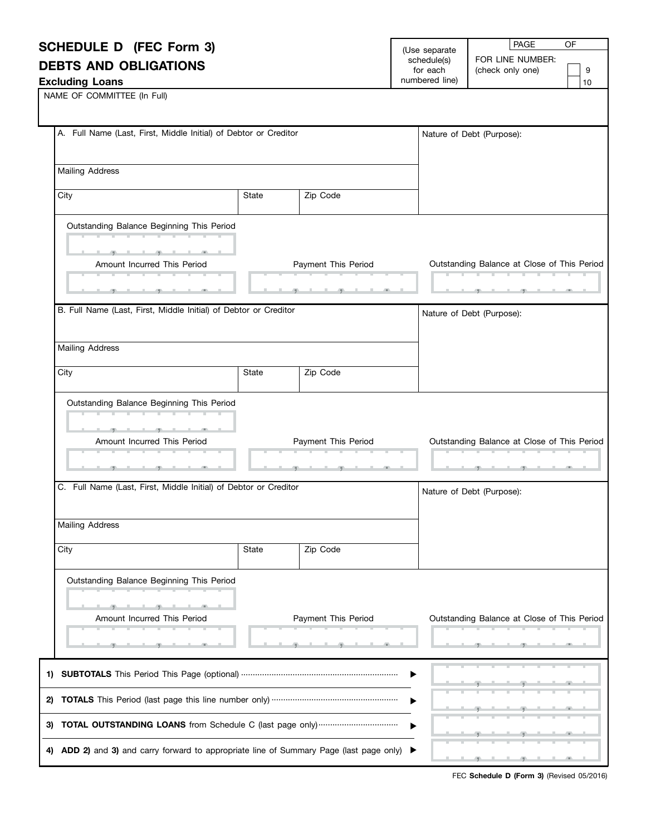| <b>SCHEDULE D (FEC Form 3)</b>                                                                                                                                                                                                       |       |                                   | (Use separate           | <b>PAGE</b><br>OF                                  |
|--------------------------------------------------------------------------------------------------------------------------------------------------------------------------------------------------------------------------------------|-------|-----------------------------------|-------------------------|----------------------------------------------------|
| <b>DEBTS AND OBLIGATIONS</b>                                                                                                                                                                                                         |       |                                   | schedule(s)<br>for each | FOR LINE NUMBER:<br>9                              |
| <b>Excluding Loans</b>                                                                                                                                                                                                               |       |                                   | numbered line)          | (check only one)<br>10                             |
| NAME OF COMMITTEE (In Full)                                                                                                                                                                                                          |       |                                   |                         |                                                    |
| A. Full Name (Last, First, Middle Initial) of Debtor or Creditor                                                                                                                                                                     |       |                                   |                         | Nature of Debt (Purpose):                          |
| <b>Mailing Address</b>                                                                                                                                                                                                               |       |                                   |                         |                                                    |
| City                                                                                                                                                                                                                                 | State | Zip Code                          |                         |                                                    |
| Outstanding Balance Beginning This Period<br><b>The Committee Committee Committee</b>                                                                                                                                                |       |                                   |                         |                                                    |
| Amount Incurred This Period                                                                                                                                                                                                          |       | Payment This Period               |                         | Outstanding Balance at Close of This Period        |
|                                                                                                                                                                                                                                      |       | <b>Contract Contract Contract</b> |                         |                                                    |
| B. Full Name (Last, First, Middle Initial) of Debtor or Creditor                                                                                                                                                                     |       |                                   |                         | Nature of Debt (Purpose):                          |
|                                                                                                                                                                                                                                      |       |                                   |                         |                                                    |
| <b>Mailing Address</b>                                                                                                                                                                                                               |       |                                   |                         |                                                    |
| City                                                                                                                                                                                                                                 | State | Zip Code                          |                         |                                                    |
| Outstanding Balance Beginning This Period<br><u> 1980 - Antonio Alemania de Antonio Alemania de Antonio Alemania de Antonio Alemania de Antonio Alemania de A</u>                                                                    |       |                                   |                         |                                                    |
|                                                                                                                                                                                                                                      |       |                                   |                         |                                                    |
| Amount Incurred This Period                                                                                                                                                                                                          |       | Payment This Period<br>.          |                         | Outstanding Balance at Close of This Period        |
| <u>the contract of the contract of the contract of the contract of the contract of the contract of the contract of the contract of the contract of the contract of the contract of the contract of the contract of the contract </u> |       |                                   |                         | والمستحقق والمستقيل والاستقبال والمستقيم والمستقبل |
| C. Full Name (Last, First, Middle Initial) of Debtor or Creditor                                                                                                                                                                     |       |                                   |                         | Nature of Debt (Purpose):                          |
| <b>Mailing Address</b>                                                                                                                                                                                                               |       |                                   |                         |                                                    |
| City                                                                                                                                                                                                                                 | State | Zip Code                          |                         |                                                    |
| Outstanding Balance Beginning This Period                                                                                                                                                                                            |       |                                   |                         |                                                    |
|                                                                                                                                                                                                                                      |       |                                   |                         |                                                    |
| Amount Incurred This Period                                                                                                                                                                                                          |       | Payment This Period               |                         | Outstanding Balance at Close of This Period        |
|                                                                                                                                                                                                                                      |       |                                   |                         |                                                    |
| 1)                                                                                                                                                                                                                                   |       |                                   |                         |                                                    |
|                                                                                                                                                                                                                                      |       |                                   |                         |                                                    |

| 1) SUBTOTALS This Period This Page (optional) …………………………………………………………………………………………                              |  |  |  |  |                                   |  |
|---------------------------------------------------------------------------------------------------------------|--|--|--|--|-----------------------------------|--|
|                                                                                                               |  |  |  |  | المستحدث والمتعادل والمتع         |  |
|                                                                                                               |  |  |  |  | لمستعمل والمستعمل                 |  |
| 4) ADD 2) and 3) and carry forward to appropriate line of Summary Page (last page only) $\blacktriangleright$ |  |  |  |  | and the company of the company of |  |

FEC **Schedule D (Form 3)** (Revised 05/2016)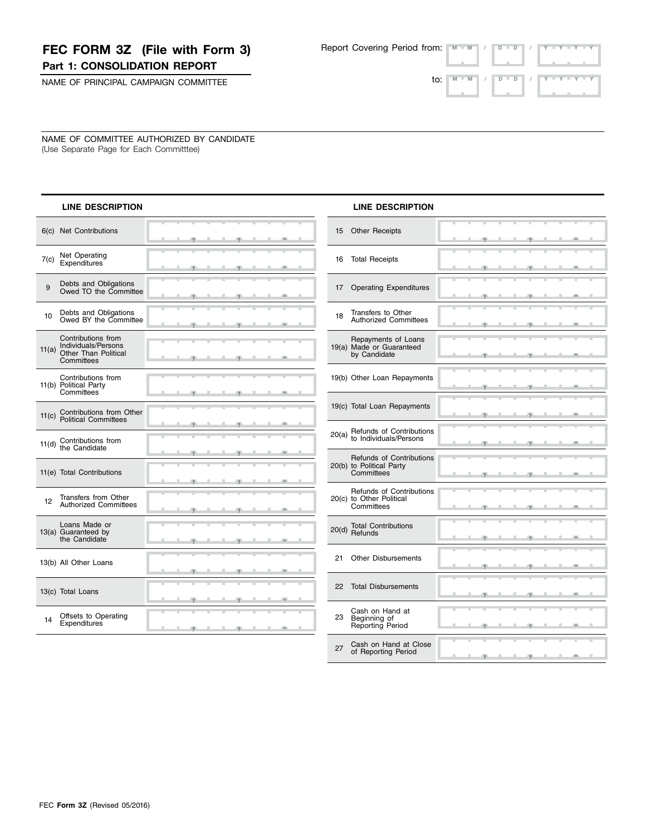## **FEC FORM 3Z (File with Form 3) Part 1: CONSOLIDATION REPORT**

Report Covering Period from:  **M M / D D / Y Y Y Y**

, , .

, , .

NAME OF PRINCIPAL CAMPAIGN COMMITTEE

| $\mathsf{to}$ : $\mathsf{N}$ $\mathsf{M}$ $\mathsf{N}$ $\mathsf{N}$ $\mathsf{N}$ $\mathsf{N}$ $\mathsf{N}$ $\mathsf{N}$ $\mathsf{N}$ $\mathsf{N}$ $\mathsf{N}$ $\mathsf{N}$ $\mathsf{N}$ $\mathsf{N}$ $\mathsf{N}$ $\mathsf{N}$ $\mathsf{N}$ $\mathsf{N}$ $\mathsf{N}$ $\mathsf{N}$ $\mathsf{N}$ $\mathsf{N}$ $\mathsf{N}$ $\mathsf$ |  |  |  |  |
|--------------------------------------------------------------------------------------------------------------------------------------------------------------------------------------------------------------------------------------------------------------------------------------------------------------------------------------|--|--|--|--|
|                                                                                                                                                                                                                                                                                                                                      |  |  |  |  |

J. ÷

NAME OF COMMITTEE AUTHORIZED BY CANDIDATE (Use Separate Page for Each Committtee)

| <b>LINE DESCRIPTION</b>                                                                         |              | <b>LINE DESCRIPTION</b>                                                   |
|-------------------------------------------------------------------------------------------------|--------------|---------------------------------------------------------------------------|
| 6(c) Net Contributions                                                                          | $-1$         | 15<br><b>Other Receipts</b>                                               |
| Net Operating<br>7(c)<br><b>Expenditures</b>                                                    |              | <b>Total Receipts</b><br>16                                               |
| Debts and Obligations<br>9<br>Owed TO the Committee                                             |              | 17<br><b>Operating Expenditures</b>                                       |
| Debts and Obligations<br>Owed BY the Committee<br>10                                            |              | Transfers to Other<br>18<br><b>Authorized Committees</b>                  |
| Contributions from<br>Individuals/Persons<br>11(a)<br><b>Other Than Political</b><br>Committees |              | Repayments of Loans<br>19(a) Made or Guaranteed<br>by Candidate           |
| Contributions from<br>11(b) Political Party<br>Committees                                       | -9           | 19(b) Other Loan Repayments                                               |
| Contributions from Other<br>11(c)<br><b>Political Committees</b>                                |              | 19(c) Total Loan Repayments                                               |
| Contributions from<br>11(d)<br>the Candidate                                                    |              | Refunds of Contributions<br>20(a)<br>to Individuals/Persons               |
| 11(e) Total Contributions                                                                       | H.           | <b>Refunds of Contributions</b><br>20(b) to Political Party<br>Committees |
| Transfers from Other<br>12<br><b>Authorized Committees</b>                                      |              | Refunds of Contributions<br>20(c) to Other Political<br>Committees        |
| Loans Made or<br>13(a) Guaranteed by<br>the Candidate                                           | п            | <b>Total Contributions</b><br>20(d)<br>Refunds                            |
| 13(b) All Other Loans                                                                           |              | <b>Other Disbursements</b><br>21                                          |
| 13(c) Total Loans                                                                               |              | <b>Total Disbursements</b><br>22                                          |
| Offsets to Operating<br>14<br>Expenditures                                                      | $\mathbb{R}$ | Cash on Hand at<br>23<br>Beginning of<br>Reporting Period                 |

| 17    | <b>Operating Expenditures</b>                                      |    |          |     |                                   | л  | 伊                                                                                                                                                                                                                                                                                                                                                                                    |                |   |  |
|-------|--------------------------------------------------------------------|----|----------|-----|-----------------------------------|----|--------------------------------------------------------------------------------------------------------------------------------------------------------------------------------------------------------------------------------------------------------------------------------------------------------------------------------------------------------------------------------------|----------------|---|--|
| 18    | Transfers to Other<br><b>Authorized Committees</b>                 |    |          |     |                                   |    |                                                                                                                                                                                                                                                                                                                                                                                      |                |   |  |
|       | Repayments of Loans                                                |    |          | -91 | л.                                |    | $-9$                                                                                                                                                                                                                                                                                                                                                                                 | JL.            |   |  |
|       | 19(a) Made or Guaranteed<br>by Candidate                           |    |          | æ.  | л.                                | a. | -91                                                                                                                                                                                                                                                                                                                                                                                  |                |   |  |
|       | 19(b) Other Loan Repayments                                        |    |          |     |                                   |    |                                                                                                                                                                                                                                                                                                                                                                                      |                |   |  |
|       |                                                                    | ۰  | <u>.</u> |     |                                   |    | $\overline{y}$ and $\overline{y}$ and $\overline{y}$                                                                                                                                                                                                                                                                                                                                 |                |   |  |
|       | 19(c) Total Loan Repayments                                        |    |          |     |                                   |    | -91                                                                                                                                                                                                                                                                                                                                                                                  |                |   |  |
| 20(a) | Refunds of Contributions<br>to Individuals/Persons                 |    |          |     |                                   |    |                                                                                                                                                                                                                                                                                                                                                                                      |                |   |  |
|       |                                                                    | л. |          |     | $\overline{1}$                    |    |                                                                                                                                                                                                                                                                                                                                                                                      | $\overline{1}$ | л |  |
|       | Refunds of Contributions<br>20(b) to Political Party<br>Committees | ш  | ш        | 田   | л                                 | J. | 併                                                                                                                                                                                                                                                                                                                                                                                    | ш              | л |  |
|       | Refunds of Contributions                                           |    |          |     |                                   |    | Ŧ                                                                                                                                                                                                                                                                                                                                                                                    |                |   |  |
|       | 20(c) to Other Political<br>Committees                             |    |          | m.  |                                   | -  | -91                                                                                                                                                                                                                                                                                                                                                                                  | л              |   |  |
| 20(d) | <b>Total Contributions</b><br>Refunds                              |    |          |     |                                   |    |                                                                                                                                                                                                                                                                                                                                                                                      |                |   |  |
|       |                                                                    |    |          |     |                                   |    | 何                                                                                                                                                                                                                                                                                                                                                                                    |                |   |  |
| 21    | <b>Other Disbursements</b>                                         |    |          |     | $\overline{9}$ and $\overline{9}$ |    |                                                                                                                                                                                                                                                                                                                                                                                      |                |   |  |
| 22    | <b>Total Disbursements</b>                                         |    |          |     |                                   |    |                                                                                                                                                                                                                                                                                                                                                                                      |                |   |  |
|       |                                                                    |    |          | o   | ш                                 | л  | σ                                                                                                                                                                                                                                                                                                                                                                                    |                |   |  |
| 23    | Cash on Hand at<br>Beginning of<br>Reporting Period                |    |          |     |                                   |    | $\overline{9}$ $\overline{9}$                                                                                                                                                                                                                                                                                                                                                        | -              |   |  |
| 27    | Cash on Hand at Close                                              |    |          |     |                                   |    |                                                                                                                                                                                                                                                                                                                                                                                      |                |   |  |
|       | of Reporting Period                                                |    |          |     |                                   |    | $\overline{1}$ $\overline{1}$ $\overline{1}$ $\overline{1}$ $\overline{1}$ $\overline{1}$ $\overline{1}$ $\overline{1}$ $\overline{1}$ $\overline{1}$ $\overline{1}$ $\overline{1}$ $\overline{1}$ $\overline{1}$ $\overline{1}$ $\overline{1}$ $\overline{1}$ $\overline{1}$ $\overline{1}$ $\overline{1}$ $\overline{1}$ $\overline{1}$ $\overline{1}$ $\overline{1}$ $\overline{$ |                |   |  |